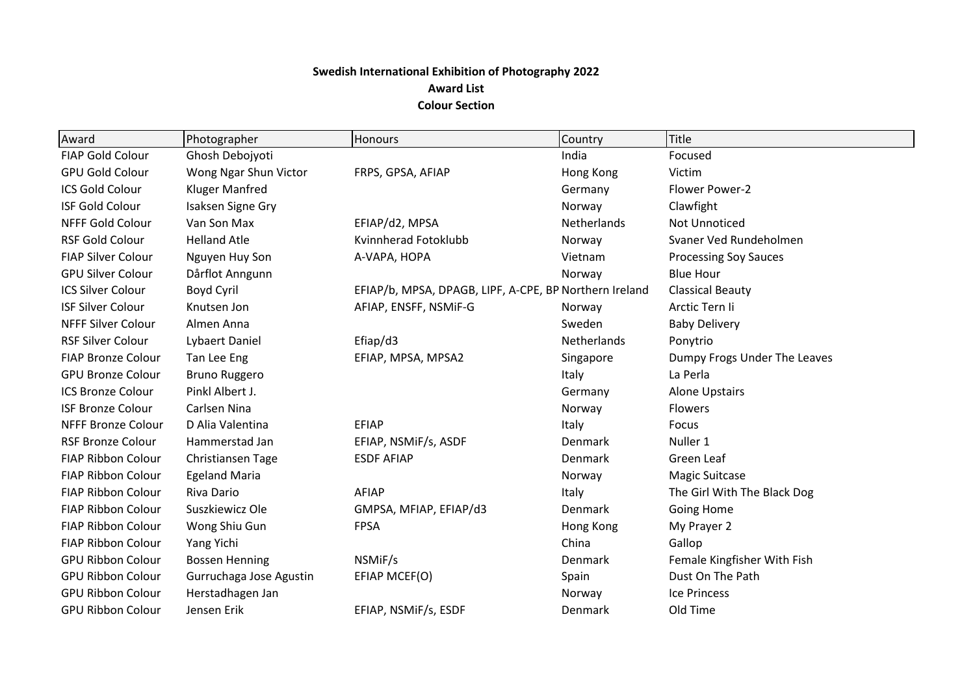## **Swedish International Exhibition of Photography 2022 Award List Colour Section**

| Award                     | Photographer            | <b>Honours</b>                                         | Country     | Title                        |
|---------------------------|-------------------------|--------------------------------------------------------|-------------|------------------------------|
| <b>FIAP Gold Colour</b>   | Ghosh Debojyoti         |                                                        | India       | Focused                      |
| <b>GPU Gold Colour</b>    | Wong Ngar Shun Victor   | FRPS, GPSA, AFIAP                                      | Hong Kong   | Victim                       |
| <b>ICS Gold Colour</b>    | <b>Kluger Manfred</b>   |                                                        | Germany     | Flower Power-2               |
| <b>ISF Gold Colour</b>    | Isaksen Signe Gry       |                                                        | Norway      | Clawfight                    |
| <b>NFFF Gold Colour</b>   | Van Son Max             | EFIAP/d2, MPSA                                         | Netherlands | <b>Not Unnoticed</b>         |
| <b>RSF Gold Colour</b>    | <b>Helland Atle</b>     | Kvinnherad Fotoklubb                                   | Norway      | Svaner Ved Rundeholmen       |
| <b>FIAP Silver Colour</b> | Nguyen Huy Son          | A-VAPA, HOPA                                           | Vietnam     | <b>Processing Soy Sauces</b> |
| <b>GPU Silver Colour</b>  | Dårflot Anngunn         |                                                        | Norway      | <b>Blue Hour</b>             |
| <b>ICS Silver Colour</b>  | Boyd Cyril              | EFIAP/b, MPSA, DPAGB, LIPF, A-CPE, BP Northern Ireland |             | <b>Classical Beauty</b>      |
| <b>ISF Silver Colour</b>  | Knutsen Jon             | AFIAP, ENSFF, NSMIF-G                                  | Norway      | Arctic Tern li               |
| <b>NFFF Silver Colour</b> | Almen Anna              |                                                        | Sweden      | <b>Baby Delivery</b>         |
| <b>RSF Silver Colour</b>  | Lybaert Daniel          | Efiap/d3                                               | Netherlands | Ponytrio                     |
| <b>FIAP Bronze Colour</b> | Tan Lee Eng             | EFIAP, MPSA, MPSA2                                     | Singapore   | Dumpy Frogs Under The Leaves |
| <b>GPU Bronze Colour</b>  | Bruno Ruggero           |                                                        | Italy       | La Perla                     |
| <b>ICS Bronze Colour</b>  | Pinkl Albert J.         |                                                        | Germany     | <b>Alone Upstairs</b>        |
| <b>ISF Bronze Colour</b>  | Carlsen Nina            |                                                        | Norway      | <b>Flowers</b>               |
| <b>NFFF Bronze Colour</b> | D Alia Valentina        | EFIAP                                                  | Italy       | Focus                        |
| <b>RSF Bronze Colour</b>  | Hammerstad Jan          | EFIAP, NSMIF/s, ASDF                                   | Denmark     | Nuller 1                     |
| <b>FIAP Ribbon Colour</b> | Christiansen Tage       | <b>ESDF AFIAP</b>                                      | Denmark     | Green Leaf                   |
| <b>FIAP Ribbon Colour</b> | <b>Egeland Maria</b>    |                                                        | Norway      | <b>Magic Suitcase</b>        |
| <b>FIAP Ribbon Colour</b> | Riva Dario              | AFIAP                                                  | Italy       | The Girl With The Black Dog  |
| <b>FIAP Ribbon Colour</b> | Suszkiewicz Ole         | GMPSA, MFIAP, EFIAP/d3                                 | Denmark     | Going Home                   |
| <b>FIAP Ribbon Colour</b> | Wong Shiu Gun           | <b>FPSA</b>                                            | Hong Kong   | My Prayer 2                  |
| <b>FIAP Ribbon Colour</b> | Yang Yichi              |                                                        | China       | Gallop                       |
| <b>GPU Ribbon Colour</b>  | <b>Bossen Henning</b>   | NSMIF/s                                                | Denmark     | Female Kingfisher With Fish  |
| <b>GPU Ribbon Colour</b>  | Gurruchaga Jose Agustin | EFIAP MCEF(O)                                          | Spain       | Dust On The Path             |
| <b>GPU Ribbon Colour</b>  | Herstadhagen Jan        |                                                        | Norway      | <b>Ice Princess</b>          |
| <b>GPU Ribbon Colour</b>  | Jensen Erik             | EFIAP, NSMIF/s, ESDF                                   | Denmark     | Old Time                     |